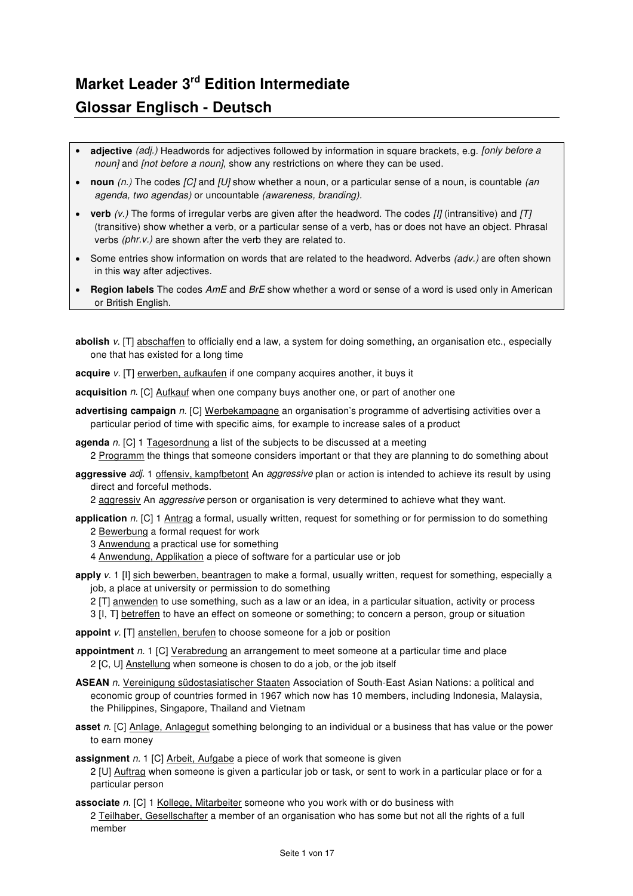## **Market Leader 3rd Edition Intermediate Glossar Englisch - Deutsch**

- adjective (adj.) Headwords for adjectives followed by information in square brackets, e.g. [only before a noun] and *[not before a noun]*, show any restrictions on where they can be used.
- **noun** (n.) The codes [C] and [U] show whether a noun, or a particular sense of a noun, is countable (an agenda, two agendas) or uncountable (awareness, branding).
- **verb**  $(v.)$  The forms of irregular verbs are given after the headword. The codes  $[II]$  (intransitive) and  $[T]$ (transitive) show whether a verb, or a particular sense of a verb, has or does not have an object. Phrasal verbs (phr.v.) are shown after the verb they are related to.
- Some entries show information on words that are related to the headword. Adverbs (adv.) are often shown in this way after adjectives.
- **Region labels** The codes AmE and BrE show whether a word or sense of a word is used only in American or British English.
- **abolish** v. [T] abschaffen to officially end a law, a system for doing something, an organisation etc., especially one that has existed for a long time

**acquire** v. [T] erwerben, aufkaufen if one company acquires another, it buys it

**acquisition** n. [C] Aufkauf when one company buys another one, or part of another one

- **advertising campaign** n. [C] Werbekampagne an organisation's programme of advertising activities over a particular period of time with specific aims, for example to increase sales of a product
- **agenda** n. [C] 1 Tagesordnung a list of the subjects to be discussed at a meeting 2 Programm the things that someone considers important or that they are planning to do something about
- aggressive adj. 1 offensiv, kampfbetont An aggressive plan or action is intended to achieve its result by using direct and forceful methods.

2 aggressiv An aggressive person or organisation is very determined to achieve what they want.

- **application** n. [C] 1 Antrag a formal, usually written, request for something or for permission to do something 2 Bewerbung a formal request for work
	- 3 Anwendung a practical use for something
	- 4 Anwendung, Applikation a piece of software for a particular use or job
- **apply** v. 1 [I] sich bewerben, beantragen to make a formal, usually written, request for something, especially a job, a place at university or permission to do something
	- 2 [T] anwenden to use something, such as a law or an idea, in a particular situation, activity or process
	- 3 [I, T] betreffen to have an effect on someone or something; to concern a person, group or situation

**appoint** v. [T] anstellen, berufen to choose someone for a job or position

- **appointment** n. 1 [C] Verabredung an arrangement to meet someone at a particular time and place 2 [C, U] Anstellung when someone is chosen to do a job, or the job itself
- **ASEAN** n. Vereinigung südostasiatischer Staaten Association of South-East Asian Nations: a political and economic group of countries formed in 1967 which now has 10 members, including Indonesia, Malaysia, the Philippines, Singapore, Thailand and Vietnam
- **asset** n. [C] Anlage, Anlagegut something belonging to an individual or a business that has value or the power to earn money

**assignment** n. 1 [C] Arbeit, Aufgabe a piece of work that someone is given

2 [U] Auftrag when someone is given a particular job or task, or sent to work in a particular place or for a particular person

**associate** n. [C] 1 Kollege, Mitarbeiter someone who you work with or do business with 2 Teilhaber, Gesellschafter a member of an organisation who has some but not all the rights of a full member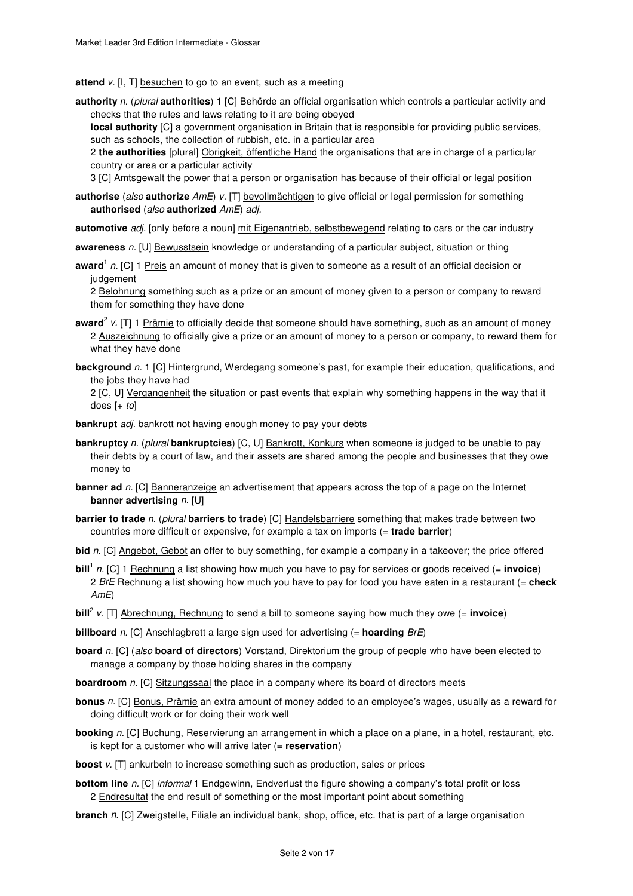**attend** v. [I, T] besuchen to go to an event, such as a meeting

**authority** n. (plural **authorities**) 1 [C] Behörde an official organisation which controls a particular activity and checks that the rules and laws relating to it are being obeyed

**local authority** [C] a government organisation in Britain that is responsible for providing public services, such as schools, the collection of rubbish, etc. in a particular area

2 **the authorities** [plural] Obrigkeit, öffentliche Hand the organisations that are in charge of a particular country or area or a particular activity

3 [C] Amtsgewalt the power that a person or organisation has because of their official or legal position

- **authorise** (also **authorize** AmE) v. [T] bevollmächtigen to give official or legal permission for something **authorised** (also **authorized** AmE) adj.
- **automotive** adj. [only before a noun] mit Eigenantrieb, selbstbewegend relating to cars or the car industry
- **awareness** n. [U] Bewusstsein knowledge or understanding of a particular subject, situation or thing
- award<sup>1</sup> n. [C] 1 Preis an amount of money that is given to someone as a result of an official decision or judgement

2 Belohnung something such as a prize or an amount of money given to a person or company to reward them for something they have done

- award<sup>2</sup> v. [T] 1 Prämie to officially decide that someone should have something, such as an amount of money 2 Auszeichnung to officially give a prize or an amount of money to a person or company, to reward them for what they have done
- **background** n. 1 [C] Hintergrund, Werdegang someone's past, for example their education, qualifications, and the jobs they have had

2 [C, U] Vergangenheit the situation or past events that explain why something happens in the way that it does  $[+ to]$ 

- **bankrupt** adj. bankrott not having enough money to pay your debts
- **bankruptcy** n. (plural **bankruptcies**) [C, U] Bankrott, Konkurs when someone is judged to be unable to pay their debts by a court of law, and their assets are shared among the people and businesses that they owe money to
- **banner ad** n. [C] Banneranzeige an advertisement that appears across the top of a page on the Internet **banner advertising** n. [U]
- **barrier to trade** n. (plural **barriers to trade**) [C] Handelsbarriere something that makes trade between two countries more difficult or expensive, for example a tax on imports (= **trade barrier**)

**bid** n. [C] Angebot, Gebot an offer to buy something, for example a company in a takeover; the price offered

- **bill**<sup>1</sup> n. [C] 1 Rechnung a list showing how much you have to pay for services or goods received (= **invoice**) 2 BrE Rechnung a list showing how much you have to pay for food you have eaten in a restaurant (= **check** AmE)
- **bill**<sup>2</sup> v. [T] Abrechnung, Rechnung to send a bill to someone saying how much they owe (= **invoice**)

**billboard** n. [C] Anschlagbrett a large sign used for advertising (= **hoarding** BrE)

- **board** n. [C] (also **board of directors**) Vorstand, Direktorium the group of people who have been elected to manage a company by those holding shares in the company
- **boardroom** n. [C] Sitzungssaal the place in a company where its board of directors meets
- **bonus** n. [C] Bonus, Prämie an extra amount of money added to an employee's wages, usually as a reward for doing difficult work or for doing their work well
- **booking** n. [C] Buchung, Reservierung an arrangement in which a place on a plane, in a hotel, restaurant, etc. is kept for a customer who will arrive later (= **reservation**)
- **boost** v. [T] ankurbeln to increase something such as production, sales or prices
- **bottom line** n. [C] *informal* 1 Endgewinn, Endverlust the figure showing a company's total profit or loss 2 **Endresultat** the end result of something or the most important point about something
- **branch** n. [C] Zweigstelle, Filiale an individual bank, shop, office, etc. that is part of a large organisation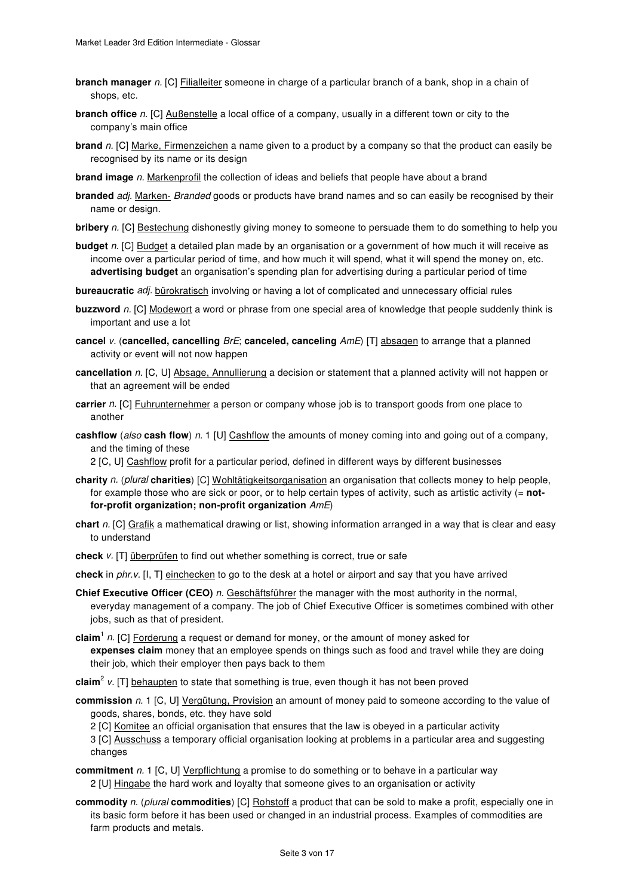- **branch manager** n. [C] **Filialleiter** someone in charge of a particular branch of a bank, shop in a chain of shops, etc.
- **branch office** n. [C] Außenstelle a local office of a company, usually in a different town or city to the company's main office
- **brand** n. [C] Marke, Firmenzeichen a name given to a product by a company so that the product can easily be recognised by its name or its design
- **brand image** n. Markenprofil the collection of ideas and beliefs that people have about a brand
- **branded** adj. Marken- Branded goods or products have brand names and so can easily be recognised by their name or design.
- **bribery** n. [C] Bestechung dishonestly giving money to someone to persuade them to do something to help you
- **budget** n. [C] Budget a detailed plan made by an organisation or a government of how much it will receive as income over a particular period of time, and how much it will spend, what it will spend the money on, etc. **advertising budget** an organisation's spending plan for advertising during a particular period of time
- **bureaucratic** adj. bürokratisch involving or having a lot of complicated and unnecessary official rules
- **buzzword** n. [C] Modewort a word or phrase from one special area of knowledge that people suddenly think is important and use a lot
- **cancel** v. (**cancelled, cancelling** BrE; **canceled, canceling** AmE) [T] absagen to arrange that a planned activity or event will not now happen
- **cancellation** n. [C, U] Absage, Annullierung a decision or statement that a planned activity will not happen or that an agreement will be ended
- **carrier** n. [C] Fuhrunternehmer a person or company whose job is to transport goods from one place to another
- **cashflow** (also **cash flow**) n. 1 [U] Cashflow the amounts of money coming into and going out of a company, and the timing of these
	- 2 [C, U] Cashflow profit for a particular period, defined in different ways by different businesses
- **charity** n. (plural **charities**) [C] Wohltätigkeitsorganisation an organisation that collects money to help people, for example those who are sick or poor, or to help certain types of activity, such as artistic activity (= **notfor-profit organization; non-profit organization** AmE)
- **chart** n. [C] Grafik a mathematical drawing or list, showing information arranged in a way that is clear and easy to understand
- **check** v. [T] überprüfen to find out whether something is correct, true or safe
- **check** in phr.v. [I, T] einchecken to go to the desk at a hotel or airport and say that you have arrived
- **Chief Executive Officer (CEO)** n. Geschäftsführer the manager with the most authority in the normal, everyday management of a company. The job of Chief Executive Officer is sometimes combined with other jobs, such as that of president.
- claim<sup>1</sup> n. [C] Forderung a request or demand for money, or the amount of money asked for **expenses claim** money that an employee spends on things such as food and travel while they are doing their job, which their employer then pays back to them
- **claim**<sup>2</sup> v. [T] behaupten to state that something is true, even though it has not been proved
- **commission** n. 1 [C, U] Vergütung, Provision an amount of money paid to someone according to the value of goods, shares, bonds, etc. they have sold
	- 2 [C] Komitee an official organisation that ensures that the law is obeyed in a particular activity
	- 3 [C] Ausschuss a temporary official organisation looking at problems in a particular area and suggesting changes
- **commitment** n. 1 [C, U] Verpflichtung a promise to do something or to behave in a particular way 2 [U] Hingabe the hard work and loyalty that someone gives to an organisation or activity
- **commodity** n. (plural **commodities**) [C] Rohstoff a product that can be sold to make a profit, especially one in its basic form before it has been used or changed in an industrial process. Examples of commodities are farm products and metals.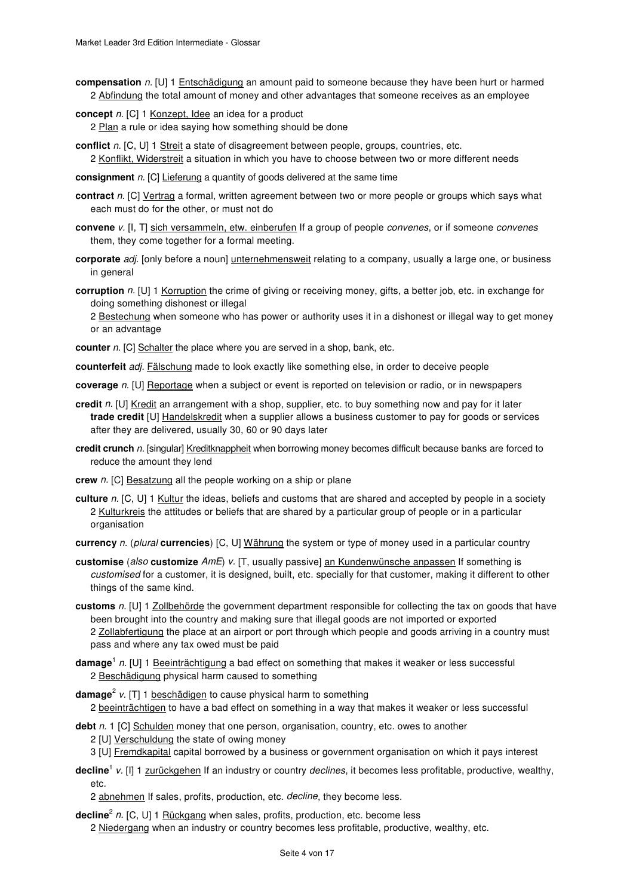**compensation** n. [U] 1 Entschädigung an amount paid to someone because they have been hurt or harmed 2 Abfindung the total amount of money and other advantages that someone receives as an employee

**concept** n. [C] 1 Konzept, Idee an idea for a product

2 Plan a rule or idea saying how something should be done

**conflict** n. [C, U] 1 Streit a state of disagreement between people, groups, countries, etc. 2 Konflikt, Widerstreit a situation in which you have to choose between two or more different needs

**consignment** *n*. [C] Lieferung a quantity of goods delivered at the same time

- **contract** n. [C] Vertrag a formal, written agreement between two or more people or groups which says what each must do for the other, or must not do
- **convene** v. [I, T] sich versammeln, etw. einberufen If a group of people convenes, or if someone convenes them, they come together for a formal meeting.
- **corporate** adj. [only before a noun] *unternehmensweit* relating to a company, usually a large one, or business in general
- **corruption** n. [U] 1 Korruption the crime of giving or receiving money, gifts, a better job, etc. in exchange for doing something dishonest or illegal

2 Bestechung when someone who has power or authority uses it in a dishonest or illegal way to get money or an advantage

**counter** n. [C] Schalter the place where you are served in a shop, bank, etc.

**counterfeit** adj. Fälschung made to look exactly like something else, in order to deceive people

- **coverage** n. [U] Reportage when a subject or event is reported on television or radio, or in newspapers
- **credit** n. [U] Kredit an arrangement with a shop, supplier, etc. to buy something now and pay for it later **trade credit** [U] Handelskredit when a supplier allows a business customer to pay for goods or services after they are delivered, usually 30, 60 or 90 days later
- **credit crunch** n. [singular] Kreditknappheit when borrowing money becomes difficult because banks are forced to reduce the amount they lend
- **crew** n. [C] **Besatzung** all the people working on a ship or plane
- **culture** n. [C, U] 1 Kultur the ideas, beliefs and customs that are shared and accepted by people in a society 2 Kulturkreis the attitudes or beliefs that are shared by a particular group of people or in a particular organisation
- **currency** n. (plural **currencies**) [C, U] Währung the system or type of money used in a particular country
- **customise** (also **customize** AmE) v. [T, usually passive] an Kundenwünsche anpassen If something is customised for a customer, it is designed, built, etc. specially for that customer, making it different to other things of the same kind.
- **customs** n. [U] 1 Zollbehörde the government department responsible for collecting the tax on goods that have been brought into the country and making sure that illegal goods are not imported or exported 2 Zollabfertigung the place at an airport or port through which people and goods arriving in a country must pass and where any tax owed must be paid
- **damage**<sup>1</sup> n. [U] 1 <u>Beeinträchtigung</u> a bad effect on something that makes it weaker or less successful 2 Beschädigung physical harm caused to something
- **damage**<sup>2</sup> v. [T] 1 beschädigen to cause physical harm to something 2 beeinträchtigen to have a bad effect on something in a way that makes it weaker or less successful
- debt n. 1 [C] Schulden money that one person, organisation, country, etc. owes to another 2 [U] Verschuldung the state of owing money
	- 3 [U] Fremdkapital capital borrowed by a business or government organisation on which it pays interest
- decline<sup>1</sup> v. [I] 1 zurückgehen If an industry or country *declines*, it becomes less profitable, productive, wealthy, etc.

2 abnehmen If sales, profits, production, etc. decline, they become less.

decline<sup>2</sup> n. [C, U] 1 Rückgang when sales, profits, production, etc. become less

2 Niedergang when an industry or country becomes less profitable, productive, wealthy, etc.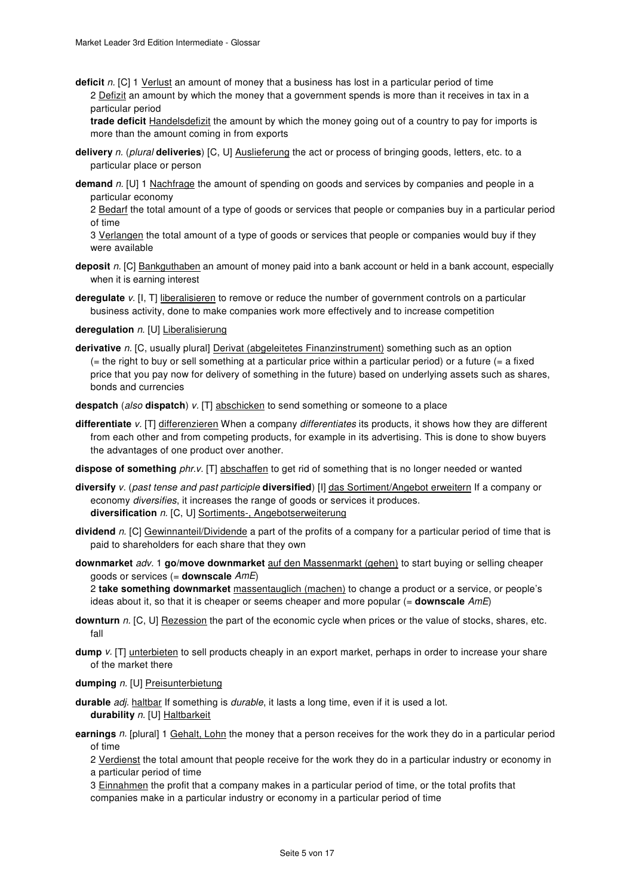**deficit** n. [C] 1 <u>Verlust</u> an amount of money that a business has lost in a particular period of time 2 Defizit an amount by which the money that a government spends is more than it receives in tax in a particular period

**trade deficit** Handelsdefizit the amount by which the money going out of a country to pay for imports is more than the amount coming in from exports

- **delivery** n. (plural **deliveries**) [C, U] Auslieferung the act or process of bringing goods, letters, etc. to a particular place or person
- **demand** n. [U] 1 Nachfrage the amount of spending on goods and services by companies and people in a particular economy

2 Bedarf the total amount of a type of goods or services that people or companies buy in a particular period of time

3 Verlangen the total amount of a type of goods or services that people or companies would buy if they were available

- **deposit** n. [C] Bankguthaben an amount of money paid into a bank account or held in a bank account, especially when it is earning interest
- **deregulate** v. [I, T] liberalisieren to remove or reduce the number of government controls on a particular business activity, done to make companies work more effectively and to increase competition

deregulation n. [U] Liberalisierung

derivative n. [C, usually plural] Derivat (abgeleitetes Finanzinstrument) something such as an option  $($  = the right to buy or sell something at a particular price within a particular period) or a future  $($  = a fixed price that you pay now for delivery of something in the future) based on underlying assets such as shares, bonds and currencies

**despatch** (also **dispatch**) v. [T] abschicken to send something or someone to a place

- differentiate v. [T] differenzieren When a company differentiates its products, it shows how they are different from each other and from competing products, for example in its advertising. This is done to show buyers the advantages of one product over another.
- **dispose of something** phr.v. [T] abschaffen to get rid of something that is no longer needed or wanted
- **diversify** v. (past tense and past participle **diversified**) [I] das Sortiment/Angebot erweitern If a company or economy diversifies, it increases the range of goods or services it produces. **diversification** n. [C, U] Sortiments-, Angebotserweiterung
- **dividend** n. [C] Gewinnanteil/Dividende a part of the profits of a company for a particular period of time that is paid to shareholders for each share that they own
- **downmarket** adv. 1 **go/move downmarket** auf den Massenmarkt (gehen) to start buying or selling cheaper goods or services (= **downscale** AmE)

2 **take something downmarket** massentauglich (machen) to change a product or a service, or people's ideas about it, so that it is cheaper or seems cheaper and more popular (= **downscale** AmE)

- **downturn** n. [C, U] Rezession the part of the economic cycle when prices or the value of stocks, shares, etc. fall
- **dump**  $v$ . [T] unterbieten to sell products cheaply in an export market, perhaps in order to increase your share of the market there

**dumping** n. [U] Preisunterbietung

- **durable** adj. haltbar If something is durable, it lasts a long time, even if it is used a lot. **durability** n. [U] Haltbarkeit
- **earnings** n. [plural] 1 Gehalt, Lohn the money that a person receives for the work they do in a particular period of time

2 Verdienst the total amount that people receive for the work they do in a particular industry or economy in a particular period of time

3 Einnahmen the profit that a company makes in a particular period of time, or the total profits that

companies make in a particular industry or economy in a particular period of time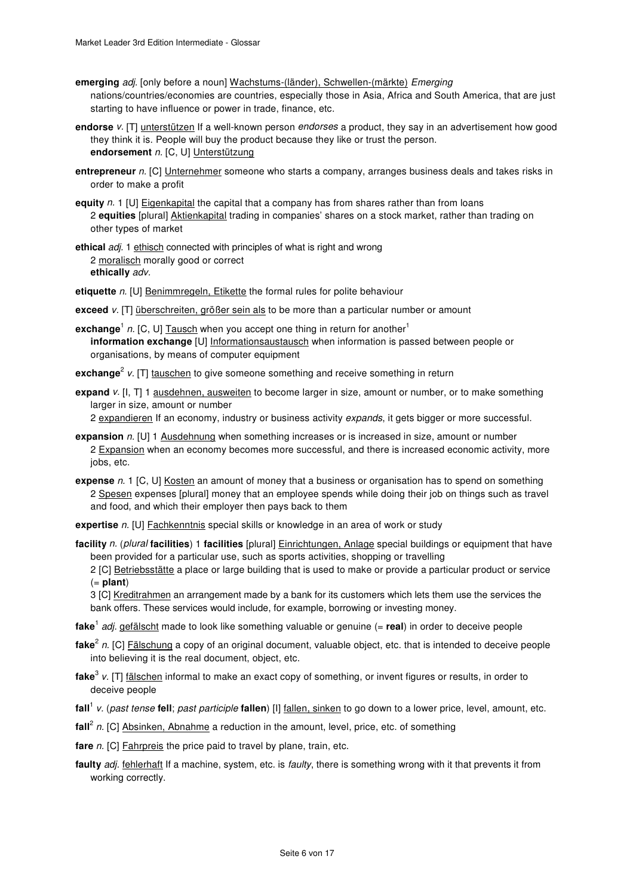- **emerging** adj. [only before a noun] Wachstums-(länder), Schwellen-(märkte) Emerging nations/countries/economies are countries, especially those in Asia, Africa and South America, that are just starting to have influence or power in trade, finance, etc.
- **endorse** v. [T] unterstützen If a well-known person endorses a product, they say in an advertisement how good they think it is. People will buy the product because they like or trust the person. **endorsement** n. [C, U] Unterstützung
- **entrepreneur** n. [C] Unternehmer someone who starts a company, arranges business deals and takes risks in order to make a profit
- **equity** n. 1 [U] Eigenkapital the capital that a company has from shares rather than from loans 2 **equities** [plural] Aktienkapital trading in companies' shares on a stock market, rather than trading on other types of market
- **ethical** adj. 1 ethisch connected with principles of what is right and wrong 2 moralisch morally good or correct **ethically** adv.
- etiquette n. [U] Benimmregeln, Etikette the formal rules for polite behaviour
- **exceed** v. [T] überschreiten, größer sein als to be more than a particular number or amount
- **exchange**<sup>1</sup> n. [C, U] Tausch when you accept one thing in return for another<sup>1</sup> **information exchange** [U] Informationsaustausch when information is passed between people or organisations, by means of computer equipment
- exchange<sup>2</sup> v. [T] tauschen to give someone something and receive something in return
- **expand** v. [I, T] 1 ausdehnen, ausweiten to become larger in size, amount or number, or to make something larger in size, amount or number
	- 2 expandieren If an economy, industry or business activity expands, it gets bigger or more successful.
- **expansion** n. [U] 1 Ausdehnung when something increases or is increased in size, amount or number 2 Expansion when an economy becomes more successful, and there is increased economic activity, more jobs, etc.
- **expense** n. 1 [C, U] Kosten an amount of money that a business or organisation has to spend on something 2 Spesen expenses [plural] money that an employee spends while doing their job on things such as travel and food, and which their employer then pays back to them
- **expertise** n. [U] Fachkenntnis special skills or knowledge in an area of work or study
- **facility** n. (plural **facilities**) 1 **facilities** [plural] Einrichtungen, Anlage special buildings or equipment that have been provided for a particular use, such as sports activities, shopping or travelling

2 [C] Betriebsstätte a place or large building that is used to make or provide a particular product or service (= **plant**)

3 [C] Kreditrahmen an arrangement made by a bank for its customers which lets them use the services the bank offers. These services would include, for example, borrowing or investing money.

- **fake**<sup>1</sup> adj. gefälscht made to look like something valuable or genuine (= **real**) in order to deceive people
- **fake**<sup>2</sup> n. [C] Fälschung a copy of an original document, valuable object, etc. that is intended to deceive people into believing it is the real document, object, etc.
- **fake**<sup>3</sup> v. [T] fälschen informal to make an exact copy of something, or invent figures or results, in order to deceive people
- **fall**<sup>1</sup> v. (past tense **fell**; past participle **fallen**) [I] fallen, sinken to go down to a lower price, level, amount, etc.
- fall<sup>2</sup> n. [C] Absinken, Abnahme a reduction in the amount, level, price, etc. of something
- fare n. [C] **Fahrpreis** the price paid to travel by plane, train, etc.
- **faulty** adj. fehlerhaft If a machine, system, etc. is *faulty*, there is something wrong with it that prevents it from working correctly.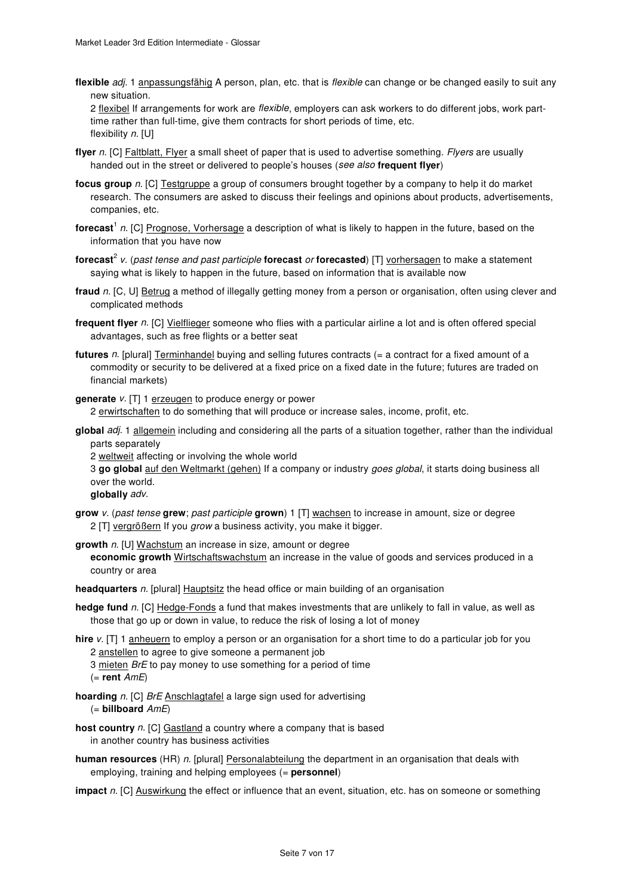flexible *adj*. 1 anpassungsfähig A person, plan, etc. that is *flexible* can change or be changed easily to suit any new situation.

2 flexibel If arrangements for work are flexible, employers can ask workers to do different jobs, work parttime rather than full-time, give them contracts for short periods of time, etc. flexibility n. [U]

- **flyer** n. [C] Faltblatt, Flyer a small sheet of paper that is used to advertise something. *Flyers* are usually handed out in the street or delivered to people's houses (see also **frequent flyer**)
- **focus group** n. [C] Testgruppe a group of consumers brought together by a company to help it do market research. The consumers are asked to discuss their feelings and opinions about products, advertisements, companies, etc.
- f**orecast**<sup>1</sup> n. [C] <u>Prognose, Vorhersage</u> a description of what is likely to happen in the future, based on the information that you have now
- **forecast**<sup>2</sup> v. (past tense and past participle **forecast** or **forecasted**) [T] vorhersagen to make a statement saying what is likely to happen in the future, based on information that is available now
- **fraud** n. [C, U] Betrug a method of illegally getting money from a person or organisation, often using clever and complicated methods
- **frequent flyer** n. [C] Vielflieger someone who flies with a particular airline a lot and is often offered special advantages, such as free flights or a better seat
- **futures** n. [plural] Terminhandel buying and selling futures contracts (= a contract for a fixed amount of a commodity or security to be delivered at a fixed price on a fixed date in the future; futures are traded on financial markets)

generate  $v$ . [T] 1 erzeugen to produce energy or power 2 erwirtschaften to do something that will produce or increase sales, income, profit, etc.

**global** adj. 1 allgemein including and considering all the parts of a situation together, rather than the individual parts separately

2 weltweit affecting or involving the whole world

3 **go global** auf den Weltmarkt (gehen) If a company or industry goes global, it starts doing business all over the world.

**globally** adv.

**grow** v. (past tense **grew**; past participle **grown**) 1 [T] wachsen to increase in amount, size or degree 2 [T] vergrößern If you grow a business activity, you make it bigger.

**growth** n. [U] Wachstum an increase in size, amount or degree

**economic growth** Wirtschaftswachstum an increase in the value of goods and services produced in a country or area

**headquarters** n. [plural] Hauptsitz the head office or main building of an organisation

**hedge fund** n. [C] Hedge-Fonds a fund that makes investments that are unlikely to fall in value, as well as those that go up or down in value, to reduce the risk of losing a lot of money

**hire** v. [T] 1 anheuern to employ a person or an organisation for a short time to do a particular job for you 2 anstellen to agree to give someone a permanent job

3 mieten BrE to pay money to use something for a period of time

(= **rent** AmE)

- **hoarding** n. [C] BrE Anschlagtafel a large sign used for advertising (= **billboard** AmE)
- **host country** n. [C] Gastland a country where a company that is based in another country has business activities
- **human resources** (HR) n. [plural] Personalabteilung the department in an organisation that deals with employing, training and helping employees (= **personnel**)

**impact** n. [C] Auswirkung the effect or influence that an event, situation, etc. has on someone or something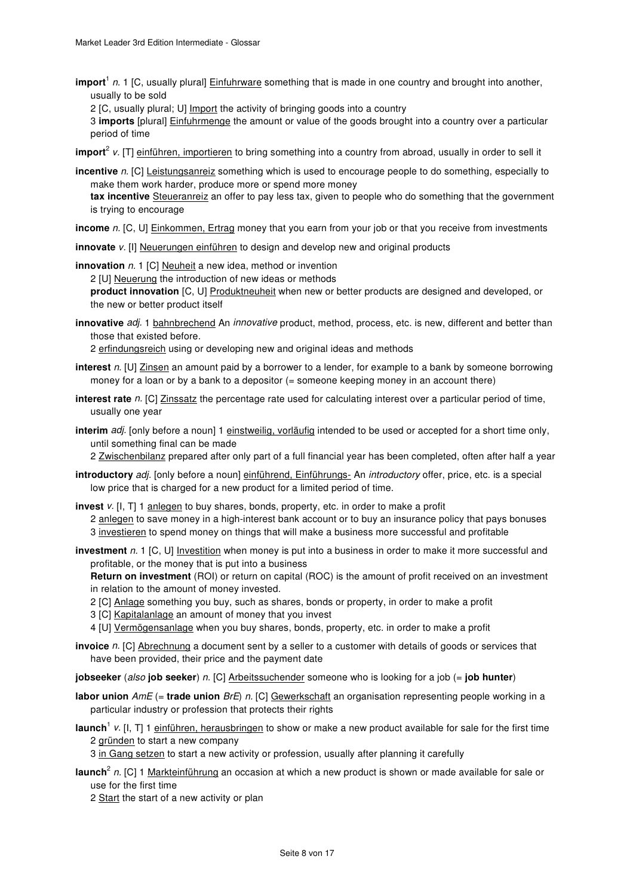import<sup>1</sup> n. 1 [C, usually plural] **Einfuhrware** something that is made in one country and brought into another, usually to be sold

2 [C, usually plural; U] Import the activity of bringing goods into a country

3 **imports** [plural] Einfuhrmenge the amount or value of the goods brought into a country over a particular period of time

**import**<sup>2</sup> v. [T] einführen, importieren to bring something into a country from abroad, usually in order to sell it

**incentive** n. [C] Leistungsanreiz something which is used to encourage people to do something, especially to make them work harder, produce more or spend more money **tax incentive** Steueranreiz an offer to pay less tax, given to people who do something that the government

is trying to encourage **income** n. [C, U] Einkommen, Ertrag money that you earn from your job or that you receive from investments

**innovate** v. [I] Neuerungen einführen to design and develop new and original products

**innovation** n. 1 [C] Neuheit a new idea, method or invention

2 [U] Neuerung the introduction of new ideas or methods

**product innovation** [C, U] Produktneuheit when new or better products are designed and developed, or the new or better product itself

**innovative** adj. 1 bahnbrechend An *innovative* product, method, process, etc. is new, different and better than those that existed before.

2 erfindungsreich using or developing new and original ideas and methods

- **interest** n. [U] Zinsen an amount paid by a borrower to a lender, for example to a bank by someone borrowing money for a loan or by a bank to a depositor (= someone keeping money in an account there)
- **interest rate** n. [C] Zinssatz the percentage rate used for calculating interest over a particular period of time, usually one year

**interim** adj. [only before a noun] 1 einstweilig, vorläufig intended to be used or accepted for a short time only, until something final can be made

2 Zwischenbilanz prepared after only part of a full financial year has been completed, often after half a year

**introductory** adj. [only before a noun] einführend, Einführungs- An introductory offer, price, etc. is a special low price that is charged for a new product for a limited period of time.

**invest** v. [I, T] 1 anlegen to buy shares, bonds, property, etc. in order to make a profit 2 anlegen to save money in a high-interest bank account or to buy an insurance policy that pays bonuses 3 investieren to spend money on things that will make a business more successful and profitable

**investment** n. 1 [C, U] Investition when money is put into a business in order to make it more successful and profitable, or the money that is put into a business

**Return on investment** (ROI) or return on capital (ROC) is the amount of profit received on an investment in relation to the amount of money invested.

2 [C] Anlage something you buy, such as shares, bonds or property, in order to make a profit

3 [C] Kapitalanlage an amount of money that you invest

4 [U] Vermögensanlage when you buy shares, bonds, property, etc. in order to make a profit

**invoice** n. [C] Abrechnung a document sent by a seller to a customer with details of goods or services that have been provided, their price and the payment date

**jobseeker** (also **job seeker**) n. [C] Arbeitssuchender someone who is looking for a job (= **job hunter**)

- **labor union** AmE (= **trade union** BrE) n. [C] Gewerkschaft an organisation representing people working in a particular industry or profession that protects their rights
- **launch**<sup>1</sup> v. [I, T] 1 <u>einführen, herausbringen</u> to show or make a new product available for sale for the first time 2 gründen to start a new company

3 in Gang setzen to start a new activity or profession, usually after planning it carefully

**launch**<sup>2</sup> n. [C] 1 <u>Markteinführung</u> an occasion at which a new product is shown or made available for sale or use for the first time

2 Start the start of a new activity or plan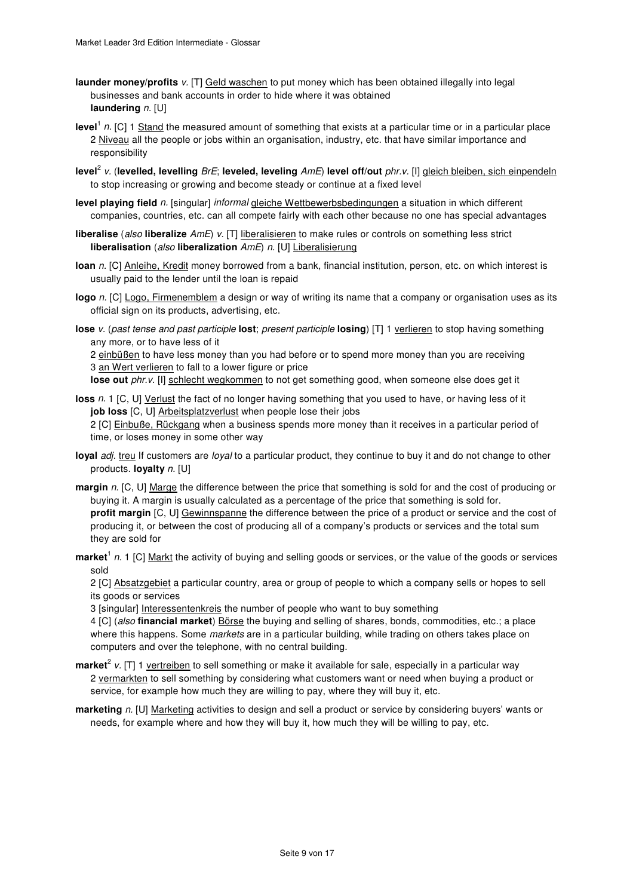- **launder money/profits** v. [T] Geld waschen to put money which has been obtained illegally into legal businesses and bank accounts in order to hide where it was obtained **laundering** n. [U]
- level<sup>1</sup> n. [C] 1 Stand the measured amount of something that exists at a particular time or in a particular place 2 Niveau all the people or jobs within an organisation, industry, etc. that have similar importance and responsibility
- **level**<sup>2</sup> v. (**levelled, levelling** BrE; **leveled, leveling** AmE) **level off/out** phr.v. [I] gleich bleiben, sich einpendeln to stop increasing or growing and become steady or continue at a fixed level
- level playing field n. [singular] informal gleiche Wettbewerbsbedingungen a situation in which different companies, countries, etc. can all compete fairly with each other because no one has special advantages
- **liberalise** (also **liberalize** AmE) v. [T] liberalisieren to make rules or controls on something less strict **liberalisation** (also **liberalization** AmE) n. [U] Liberalisierung
- **loan** n. [C] Anleihe, Kredit money borrowed from a bank, financial institution, person, etc. on which interest is usually paid to the lender until the loan is repaid
- **logo** n. [C] Logo, Firmenemblem a design or way of writing its name that a company or organisation uses as its official sign on its products, advertising, etc.
- **lose** v. (past tense and past participle **lost**; present participle **losing**) [T] 1 verlieren to stop having something any more, or to have less of it

2 einbüßen to have less money than you had before or to spend more money than you are receiving 3 an Wert verlieren to fall to a lower figure or price

lose out phr.v. [I] schlecht wegkommen to not get something good, when someone else does get it

## **loss** n. 1 [C, U] Verlust the fact of no longer having something that you used to have, or having less of it **job loss** [C, U] Arbeitsplatzverlust when people lose their jobs

2 [C] Einbuße, Rückgang when a business spends more money than it receives in a particular period of time, or loses money in some other way

- loyal adj. treu If customers are loyal to a particular product, they continue to buy it and do not change to other products. **loyalty** n. [U]
- **margin** n. [C, U] Marge the difference between the price that something is sold for and the cost of producing or buying it. A margin is usually calculated as a percentage of the price that something is sold for. **profit margin** [C, U] Gewinnspanne the difference between the price of a product or service and the cost of producing it, or between the cost of producing all of a company's products or services and the total sum they are sold for
- market<sup>1</sup> n. 1 [C] Markt the activity of buying and selling goods or services, or the value of the goods or services sold

2 [C] Absatzgebiet a particular country, area or group of people to which a company sells or hopes to sell its goods or services

3 [singular] Interessentenkreis the number of people who want to buy something

4 [C] (also **financial market**) Börse the buying and selling of shares, bonds, commodities, etc.; a place where this happens. Some markets are in a particular building, while trading on others takes place on computers and over the telephone, with no central building.

- **market**<sup>2</sup> v. [T] 1 vertreiben to sell something or make it available for sale, especially in a particular way 2 vermarkten to sell something by considering what customers want or need when buying a product or service, for example how much they are willing to pay, where they will buy it, etc.
- **marketing** n. [U] Marketing activities to design and sell a product or service by considering buyers' wants or needs, for example where and how they will buy it, how much they will be willing to pay, etc.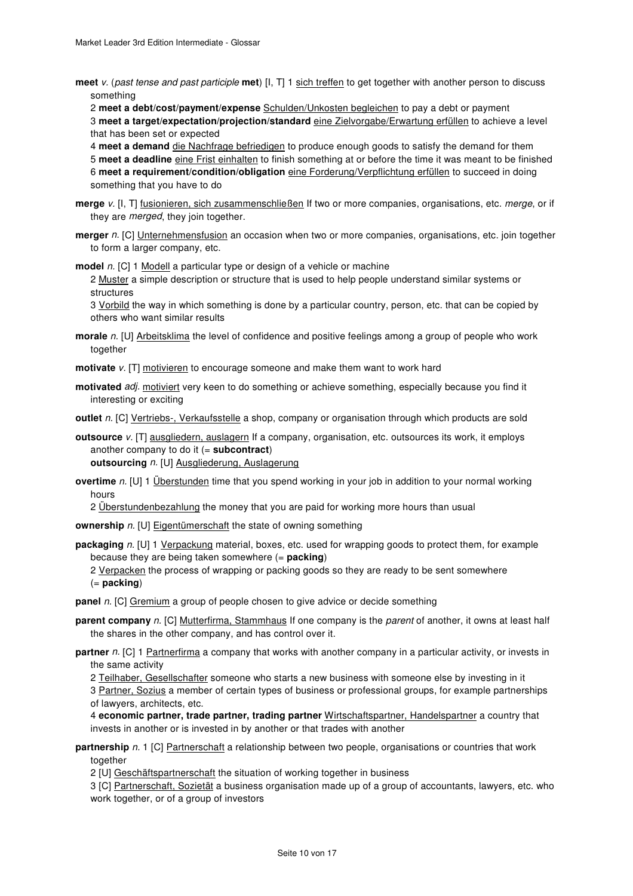**meet** v. (past tense and past participle **met**) [I, T] 1 sich treffen to get together with another person to discuss something

2 **meet a debt/cost/payment/expense** Schulden/Unkosten begleichen to pay a debt or payment 3 **meet a target/expectation/projection/standard** eine Zielvorgabe/Erwartung erfüllen to achieve a level that has been set or expected

4 **meet a demand** die Nachfrage befriedigen to produce enough goods to satisfy the demand for them 5 **meet a deadline** eine Frist einhalten to finish something at or before the time it was meant to be finished 6 meet a requirement/condition/obligation eine Forderung/Verpflichtung erfüllen to succeed in doing something that you have to do

- **merge** v. [I, T] fusionieren, sich zusammenschließen If two or more companies, organisations, etc. merge, or if they are *merged*, they join together.
- **merger** n. [C] Unternehmensfusion an occasion when two or more companies, organisations, etc. join together to form a larger company, etc.

**model** n. [C] 1 Modell a particular type or design of a vehicle or machine

2 Muster a simple description or structure that is used to help people understand similar systems or structures

3 Vorbild the way in which something is done by a particular country, person, etc. that can be copied by others who want similar results

- **morale** n. [U] Arbeitsklima the level of confidence and positive feelings among a group of people who work together
- **motivate** v. [T] motivieren to encourage someone and make them want to work hard
- **motivated** adj. motiviert very keen to do something or achieve something, especially because you find it interesting or exciting

**outlet** n. [C] Vertriebs-, Verkaufsstelle a shop, company or organisation through which products are sold

**outsource** v. [T] ausgliedern, auslagern If a company, organisation, etc. outsources its work, it employs another company to do it (= **subcontract**) **outsourcing** n. [U] Ausgliederung, Auslagerung

**overtime** n. [U] 1 Überstunden time that you spend working in your job in addition to your normal working hours

2 Überstundenbezahlung the money that you are paid for working more hours than usual

**ownership** n. [U] Eigentümerschaft the state of owning something

**packaging** n. [U] 1 Verpackung material, boxes, etc. used for wrapping goods to protect them, for example because they are being taken somewhere (= **packing**)

2 Verpacken the process of wrapping or packing goods so they are ready to be sent somewhere (= **packing**)

**panel** n. [C] Gremium a group of people chosen to give advice or decide something

**parent company** n. [C] Mutterfirma, Stammhaus If one company is the parent of another, it owns at least half the shares in the other company, and has control over it.

**partner** n. [C] 1 Partnerfirma a company that works with another company in a particular activity, or invests in the same activity

2 Teilhaber, Gesellschafter someone who starts a new business with someone else by investing in it

3 Partner, Sozius a member of certain types of business or professional groups, for example partnerships of lawyers, architects, etc.

4 **economic partner, trade partner, trading partner** Wirtschaftspartner, Handelspartner a country that invests in another or is invested in by another or that trades with another

**partnership** n. 1 [C] Partnerschaft a relationship between two people, organisations or countries that work together

2 [U] Geschäftspartnerschaft the situation of working together in business

3 [C] Partnerschaft, Sozietät a business organisation made up of a group of accountants, lawyers, etc. who work together, or of a group of investors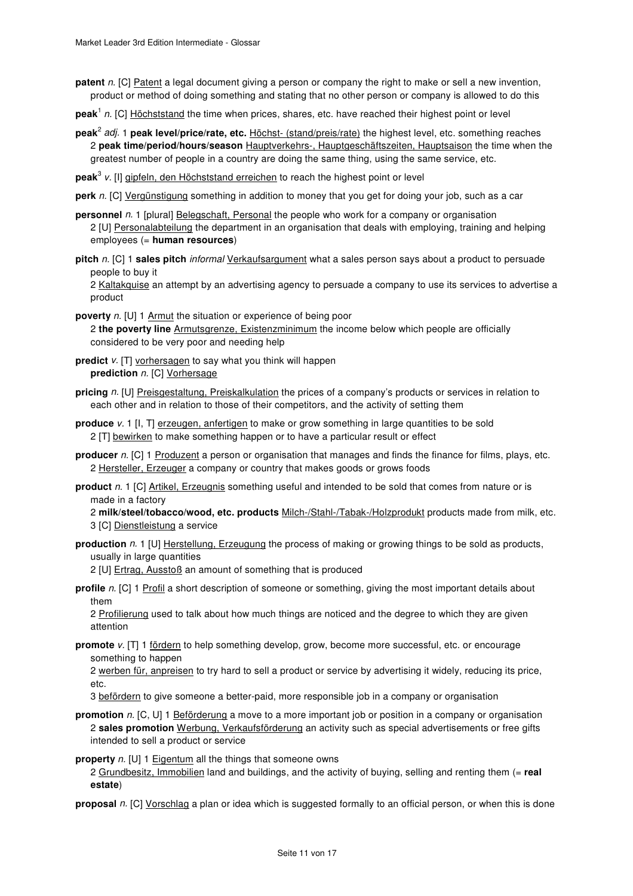**patent** n. [C] Patent a legal document giving a person or company the right to make or sell a new invention, product or method of doing something and stating that no other person or company is allowed to do this

- peak<sup>1</sup> n. [C] Höchststand the time when prices, shares, etc. have reached their highest point or level
- **peak**<sup>2</sup> adj. 1 **peak level/price/rate, etc.** Höchst- (stand/preis/rate) the highest level, etc. something reaches 2 **peak time/period/hours/season** Hauptverkehrs-, Hauptgeschäftszeiten, Hauptsaison the time when the greatest number of people in a country are doing the same thing, using the same service, etc.

**peak**<sup>3</sup> v. [I] gipfeln, den Höchststand erreichen to reach the highest point or level

**perk** n. [C] Vergünstigung something in addition to money that you get for doing your job, such as a car

- **personnel** n. 1 [plural] Belegschaft, Personal the people who work for a company or organisation 2 [U] Personalabteilung the department in an organisation that deals with employing, training and helping employees (= **human resources**)
- **pitch** n. [C] 1 **sales pitch** informal Verkaufsargument what a sales person says about a product to persuade people to buy it

2 Kaltakquise an attempt by an advertising agency to persuade a company to use its services to advertise a product

**poverty** n. [U] 1 Armut the situation or experience of being poor 2 **the poverty line** Armutsgrenze, Existenzminimum the income below which people are officially considered to be very poor and needing help

- **predict** v. [T] vorhersagen to say what you think will happen **prediction** n. [C] Vorhersage
- **pricing** n. [U] Preisgestaltung, Preiskalkulation the prices of a company's products or services in relation to each other and in relation to those of their competitors, and the activity of setting them
- **produce** v. 1 [I, T] erzeugen, anfertigen to make or grow something in large quantities to be sold 2 [T] bewirken to make something happen or to have a particular result or effect
- **producer** n. [C] 1 Produzent a person or organisation that manages and finds the finance for films, plays, etc. 2 Hersteller, Erzeuger a company or country that makes goods or grows foods

**product** n. 1 [C] Artikel, Erzeugnis something useful and intended to be sold that comes from nature or is made in a factory

2 **milk/steel/tobacco/wood, etc. products** Milch-/Stahl-/Tabak-/Holzprodukt products made from milk, etc. 3 [C] Dienstleistung a service

**production** n. 1 [U] Herstellung, Erzeugung the process of making or growing things to be sold as products, usually in large quantities

2 [U] Ertrag, Ausstoß an amount of something that is produced

**profile** n. [C] 1 Profil a short description of someone or something, giving the most important details about them

2 Profilierung used to talk about how much things are noticed and the degree to which they are given attention

**promote** v. [T] 1 fördern to help something develop, grow, become more successful, etc. or encourage something to happen

2 werben für, anpreisen to try hard to sell a product or service by advertising it widely, reducing its price, etc.

3 befördern to give someone a better-paid, more responsible job in a company or organisation

**promotion** n. [C, U] 1 **Beförderung** a move to a more important job or position in a company or organisation 2 **sales promotion** Werbung, Verkaufsförderung an activity such as special advertisements or free gifts intended to sell a product or service

**property** n. [U] 1 Eigentum all the things that someone owns

2 Grundbesitz, Immobilien land and buildings, and the activity of buying, selling and renting them (= **real estate**)

**proposal** n. [C] Vorschlag a plan or idea which is suggested formally to an official person, or when this is done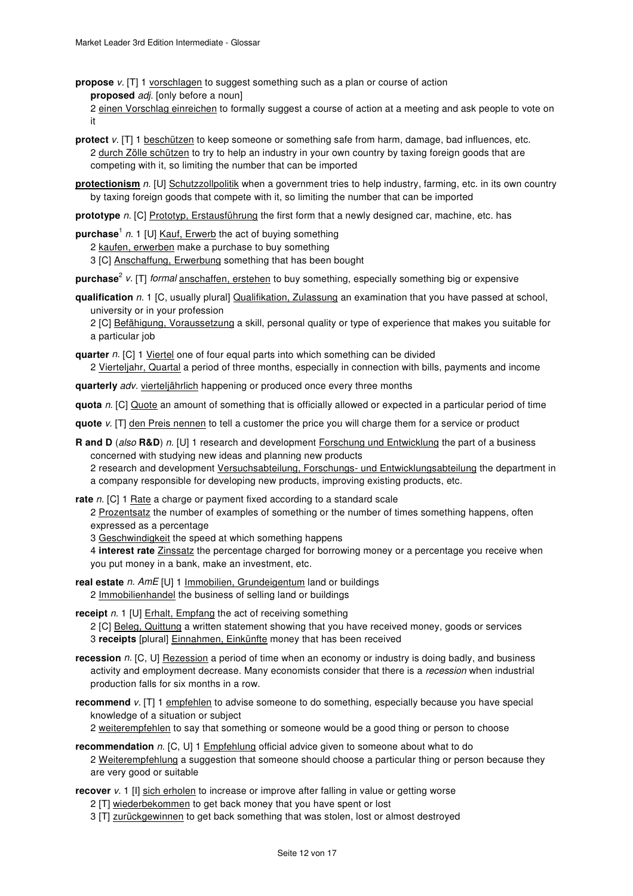**propose** v. [T] 1 vorschlagen to suggest something such as a plan or course of action **proposed** adj. [only before a noun]

2 einen Vorschlag einreichen to formally suggest a course of action at a meeting and ask people to vote on it

**protect**  $v$ . [T] 1 beschützen to keep someone or something safe from harm, damage, bad influences, etc. 2 durch Zölle schützen to try to help an industry in your own country by taxing foreign goods that are competing with it, so limiting the number that can be imported

**protectionism** n. [U] Schutzzollpolitik when a government tries to help industry, farming, etc. in its own country by taxing foreign goods that compete with it, so limiting the number that can be imported

**prototype** n. [C] Prototyp, Erstausführung the first form that a newly designed car, machine, etc. has

purchase<sup>1</sup> n. 1 [U] Kauf, Erwerb the act of buying something

2 kaufen, erwerben make a purchase to buy something

3 [C] Anschaffung, Erwerbung something that has been bought

purchase<sup>2</sup> v. [T] *formal* anschaffen, erstehen to buy something, especially something big or expensive

**qualification** n. 1 [C, usually plural] Qualifikation, Zulassung an examination that you have passed at school, university or in your profession

2 [C] Befähigung, Voraussetzung a skill, personal quality or type of experience that makes you suitable for a particular job

**quarter** n. [C] 1 Viertel one of four equal parts into which something can be divided

2 Vierteljahr, Quartal a period of three months, especially in connection with bills, payments and income

**quarterly** adv. vierteljährlich happening or produced once every three months

**quota** n. [C] Quote an amount of something that is officially allowed or expected in a particular period of time

- **quote** v. [T] den Preis nennen to tell a customer the price you will charge them for a service or product
- **R and D** (also **R&D**) n. [U] 1 research and development Forschung und Entwicklung the part of a business concerned with studying new ideas and planning new products

2 research and development Versuchsabteilung, Forschungs- und Entwicklungsabteilung the department in a company responsible for developing new products, improving existing products, etc.

**rate** n. [C] 1 Rate a charge or payment fixed according to a standard scale

2 Prozentsatz the number of examples of something or the number of times something happens, often expressed as a percentage

3 Geschwindigkeit the speed at which something happens

4 **interest rate** Zinssatz the percentage charged for borrowing money or a percentage you receive when you put money in a bank, make an investment, etc.

**real estate** n. AmE [U] 1 Immobilien, Grundeigentum land or buildings 2 Immobilienhandel the business of selling land or buildings

**receipt** n. 1 [U] Erhalt, Empfang the act of receiving something

2 [C] Beleg, Quittung a written statement showing that you have received money, goods or services 3 **receipts** [plural] Einnahmen, Einkünfte money that has been received

- **recession** n. [C, U] Rezession a period of time when an economy or industry is doing badly, and business activity and employment decrease. Many economists consider that there is a recession when industrial production falls for six months in a row.
- **recommend** v. [T] 1 empfehlen to advise someone to do something, especially because you have special knowledge of a situation or subject

2 weiterempfehlen to say that something or someone would be a good thing or person to choose

**recommendation** n. [C, U] 1 **Empfehlung** official advice given to someone about what to do 2 Weiterempfehlung a suggestion that someone should choose a particular thing or person because they are very good or suitable

**recover** v. 1 [I] sich erholen to increase or improve after falling in value or getting worse

- 2 [T] wiederbekommen to get back money that you have spent or lost
- 3 [T] zurückgewinnen to get back something that was stolen, lost or almost destroyed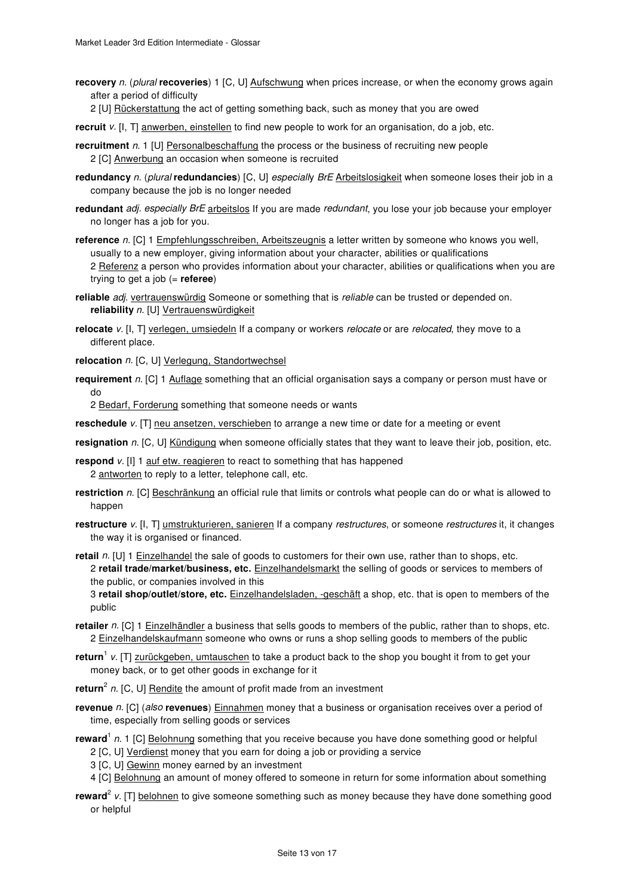**recovery** n. (plural **recoveries**) 1 [C, U] Aufschwung when prices increase, or when the economy grows again after a period of difficulty

2 [U] Rückerstattung the act of getting something back, such as money that you are owed

**recruit** v. [I, T] anwerben, einstellen to find new people to work for an organisation, do a job, etc.

- **recruitment** n. 1 [U] Personalbeschaffung the process or the business of recruiting new people 2 [C] Anwerbung an occasion when someone is recruited
- **redundancy** n. (plural **redundancies**) [C, U] especially BrE Arbeitslosigkeit when someone loses their job in a company because the job is no longer needed
- **redundant** adj. especially BrE arbeitslos If you are made redundant, you lose your job because your employer no longer has a job for you.
- **reference** n. [C] 1 Empfehlungsschreiben, Arbeitszeugnis a letter written by someone who knows you well, usually to a new employer, giving information about your character, abilities or qualifications 2 Referenz a person who provides information about your character, abilities or qualifications when you are trying to get a job (= **referee**)
- **reliable** adj. vertrauenswürdig Someone or something that is reliable can be trusted or depended on. **reliability** n. [U] Vertrauenswürdigkeit
- **relocate** v. [I, T] verlegen, umsiedeln If a company or workers *relocate* or are *relocated*, they move to a different place.
- **relocation** n. [C, U] Verlegung, Standortwechsel
- **requirement** n. [C] 1 Auflage something that an official organisation says a company or person must have or do

2 Bedarf, Forderung something that someone needs or wants

- **reschedule** v. [T] neu ansetzen, verschieben to arrange a new time or date for a meeting or event
- **resignation** n. [C, U] Kündigung when someone officially states that they want to leave their job, position, etc.
- **respond**  $v$ . [I] 1 auf etw. reagieren to react to something that has happened 2 antworten to reply to a letter, telephone call, etc.
- **restriction** n. [C] Beschränkung an official rule that limits or controls what people can do or what is allowed to happen
- **restructure** v. [I, T] umstrukturieren, sanieren If a company *restructures*, or someone *restructures* it, it changes the way it is organised or financed.
- **retail** n. [U] 1 Einzelhandel the sale of goods to customers for their own use, rather than to shops, etc. 2 **retail trade/market/business, etc.** Einzelhandelsmarkt the selling of goods or services to members of the public, or companies involved in this

3 **retail shop/outlet/store, etc.** Einzelhandelsladen, -geschäft a shop, etc. that is open to members of the public

- **retailer** n. [C] 1 Einzelhändler a business that sells goods to members of the public, rather than to shops, etc. 2 Einzelhandelskaufmann someone who owns or runs a shop selling goods to members of the public
- return<sup>1</sup> v. [T] zurückgeben, umtauschen to take a product back to the shop you bought it from to get your money back, or to get other goods in exchange for it
- return<sup>2</sup> n. [C, U] **Rendite** the amount of profit made from an investment
- **revenue** n. [C] (also **revenues**) Einnahmen money that a business or organisation receives over a period of time, especially from selling goods or services
- reward<sup>1</sup> n. 1 [C] Belohnung something that you receive because you have done something good or helpful
	- 2 [C, U] Verdienst money that you earn for doing a job or providing a service
	- 3 [C, U] Gewinn money earned by an investment
	- 4 [C] Belohnung an amount of money offered to someone in return for some information about something
- reward<sup>2</sup> v. [T] belohnen to give someone something such as money because they have done something good or helpful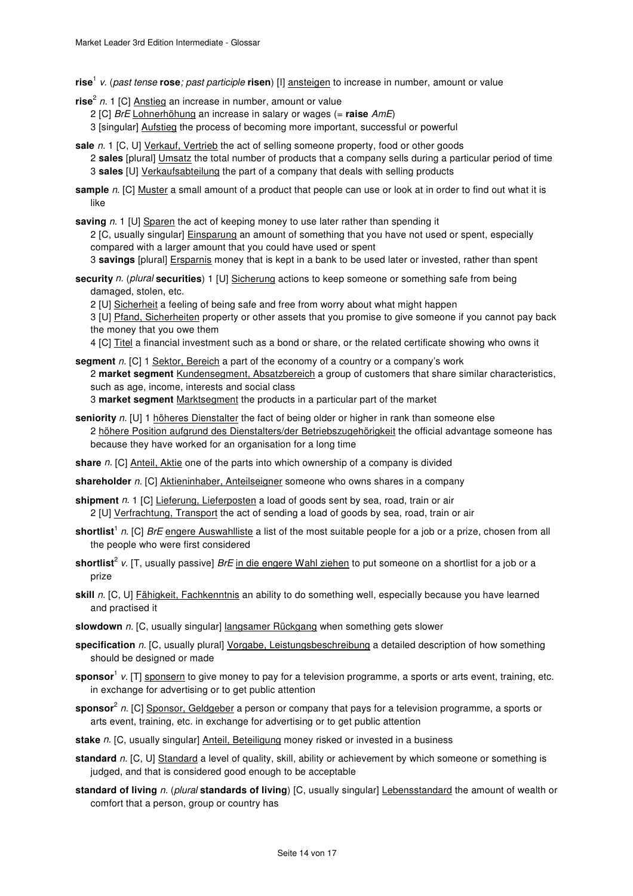- **rise**<sup>1</sup> v. (past tense **rose**; past participle **risen**) [I] ansteigen to increase in number, amount or value
- **rise**<sup>2</sup> n. 1 [C] Anstieg an increase in number, amount or value
	- 2 [C] BrE Lohnerhöhung an increase in salary or wages (= **raise** AmE)
	- 3 [singular] Aufstieg the process of becoming more important, successful or powerful
- sale n. 1 [C, U] Verkauf, Vertrieb the act of selling someone property, food or other goods 2 **sales** [plural] Umsatz the total number of products that a company sells during a particular period of time
	- 3 **sales** [U] Verkaufsabteilung the part of a company that deals with selling products
- **sample** n. [C] Muster a small amount of a product that people can use or look at in order to find out what it is like
- **saving** n. 1 [U] Sparen the act of keeping money to use later rather than spending it

2 [C, usually singular] Einsparung an amount of something that you have not used or spent, especially compared with a larger amount that you could have used or spent

3 **savings** [plural] Ersparnis money that is kept in a bank to be used later or invested, rather than spent

- **security** n. (plural **securities**) 1 [U] Sicherung actions to keep someone or something safe from being damaged, stolen, etc.
	- 2 [U] Sicherheit a feeling of being safe and free from worry about what might happen

3 [U] Pfand, Sicherheiten property or other assets that you promise to give someone if you cannot pay back the money that you owe them

4 [C] Titel a financial investment such as a bond or share, or the related certificate showing who owns it

- **segment** n. [C] 1 Sektor, Bereich a part of the economy of a country or a company's work 2 **market segment** Kundensegment, Absatzbereich a group of customers that share similar characteristics, such as age, income, interests and social class 3 **market segment** Marktsegment the products in a particular part of the market
- **seniority** n. [U] 1 höheres Dienstalter the fact of being older or higher in rank than someone else 2 höhere Position aufgrund des Dienstalters/der Betriebszugehörigkeit the official advantage someone has because they have worked for an organisation for a long time
- **share** n. [C] Anteil, Aktie one of the parts into which ownership of a company is divided
- shareholder n. [C] Aktieninhaber, Anteilseigner someone who owns shares in a company
- **shipment** n. 1 [C] Lieferung, Lieferposten a load of goods sent by sea, road, train or air 2 [U] Verfrachtung, Transport the act of sending a load of goods by sea, road, train or air
- **shortlist**<sup>1</sup> n. [C] BrE engere Auswahlliste a list of the most suitable people for a job or a prize, chosen from all the people who were first considered
- **shortlist**<sup>2</sup> v. [T, usually passive] *BrE* i<u>n die engere Wahl ziehen</u> to put someone on a shortlist for a job or a prize
- skill n. [C, U] Fähigkeit, Fachkenntnis an ability to do something well, especially because you have learned and practised it
- **slowdown** n. [C, usually singular] langsamer Rückgang when something gets slower
- **specification** n. [C, usually plural] Vorgabe, Leistungsbeschreibung a detailed description of how something should be designed or made
- **sponsor**<sup>1</sup> v. [T] <u>sponsern</u> to give money to pay for a television programme, a sports or arts event, training, etc. in exchange for advertising or to get public attention
- **sponsor**<sup>2</sup> n. [C] Sponsor, Geldgeber a person or company that pays for a television programme, a sports or arts event, training, etc. in exchange for advertising or to get public attention
- **stake** n. [C, usually singular] Anteil, Beteiligung money risked or invested in a business
- **standard** n. [C, U] Standard a level of quality, skill, ability or achievement by which someone or something is judged, and that is considered good enough to be acceptable
- **standard of living** n. (plural **standards of living**) [C, usually singular] Lebensstandard the amount of wealth or comfort that a person, group or country has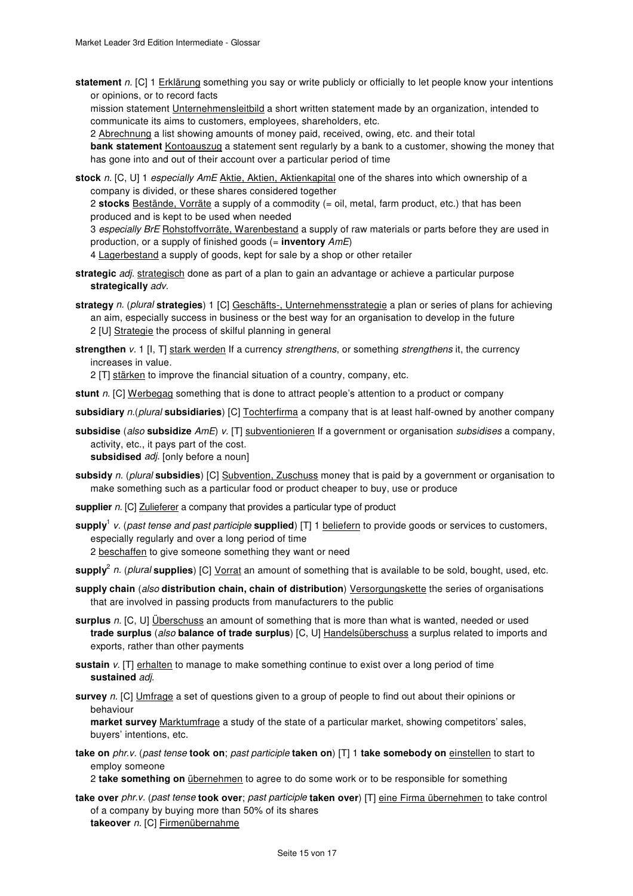**statement** n. [C] 1 Erklärung something you say or write publicly or officially to let people know your intentions or opinions, or to record facts

mission statement Unternehmensleitbild a short written statement made by an organization, intended to communicate its aims to customers, employees, shareholders, etc.

2 Abrechnung a list showing amounts of money paid, received, owing, etc. and their total

**bank statement** Kontoauszug a statement sent regularly by a bank to a customer, showing the money that has gone into and out of their account over a particular period of time

**stock** n. [C, U] 1 especially AmE Aktie, Aktien, Aktienkapital one of the shares into which ownership of a company is divided, or these shares considered together

2 **stocks** Bestände, Vorräte a supply of a commodity (= oil, metal, farm product, etc.) that has been produced and is kept to be used when needed

3 especially BrE Rohstoffvorräte, Warenbestand a supply of raw materials or parts before they are used in production, or a supply of finished goods (= **inventory** AmE)

4 Lagerbestand a supply of goods, kept for sale by a shop or other retailer

- **strategic** adj. strategisch done as part of a plan to gain an advantage or achieve a particular purpose **strategically** adv.
- **strategy** n. (plural **strategies**) 1 [C] Geschäfts-, Unternehmensstrategie a plan or series of plans for achieving an aim, especially success in business or the best way for an organisation to develop in the future 2 [U] Strategie the process of skilful planning in general
- **strengthen** v. 1 [I, T] stark werden If a currency strengthens, or something strengthens it, the currency increases in value.

2 [T] stärken to improve the financial situation of a country, company, etc.

**stunt** n. [C] Werbegag something that is done to attract people's attention to a product or company

**subsidiary** n.(plural **subsidiaries**) [C] Tochterfirma a company that is at least half-owned by another company

**subsidise** (also **subsidize** AmE) v. [T] subventionieren If a government or organisation subsidises a company, activity, etc., it pays part of the cost. **subsidised** adj. [only before a noun]

**subsidy** n. (plural **subsidies**) [C] Subvention, Zuschuss money that is paid by a government or organisation to make something such as a particular food or product cheaper to buy, use or produce

**supplier** n. [C] Zulieferer a company that provides a particular type of product

- **supply**<sup>1</sup> v. (past tense and past participle **supplied**) [T] 1 beliefern to provide goods or services to customers, especially regularly and over a long period of time
	- 2 beschaffen to give someone something they want or need

**supply**<sup>2</sup> n. (plural **supplies**) [C] Vorrat an amount of something that is available to be sold, bought, used, etc.

- **supply chain** (also **distribution chain, chain of distribution**) Versorgungskette the series of organisations that are involved in passing products from manufacturers to the public
- **surplus** n. [C, U] Überschuss an amount of something that is more than what is wanted, needed or used **trade surplus** (also **balance of trade surplus**) [C, U] Handelsüberschuss a surplus related to imports and exports, rather than other payments
- **sustain** v. [T] erhalten to manage to make something continue to exist over a long period of time **sustained** adj.
- **survey** n. [C] Umfrage a set of questions given to a group of people to find out about their opinions or behaviour

**market survey** Marktumfrage a study of the state of a particular market, showing competitors' sales, buyers' intentions, etc.

**take on** phr.v. (past tense **took on**; past participle **taken on**) [T] 1 **take somebody on** einstellen to start to employ someone

2 **take something on** übernehmen to agree to do some work or to be responsible for something

**take over** phr.v. (past tense **took over**; past participle **taken over**) [T] eine Firma übernehmen to take control of a company by buying more than 50% of its shares **takeover** n. [C] Firmenübernahme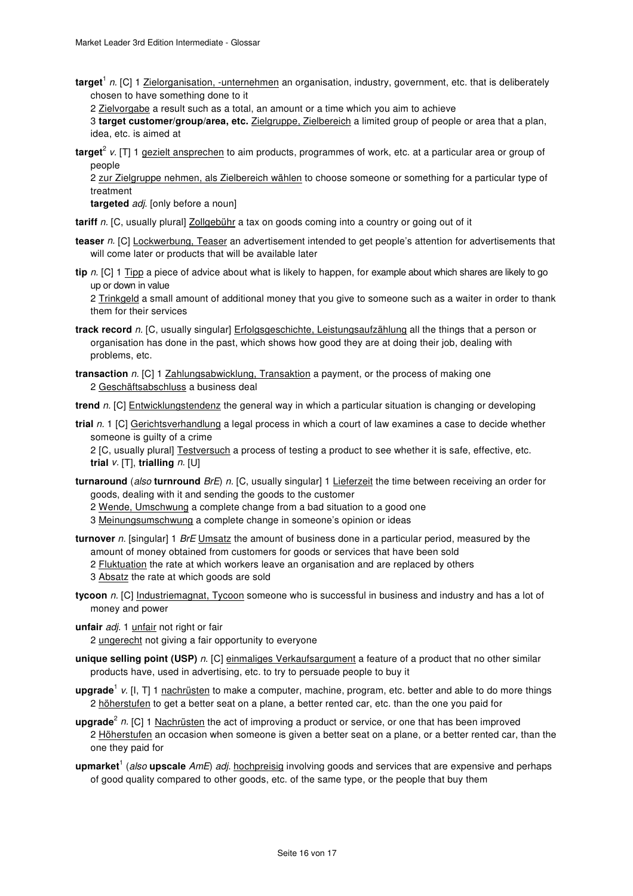target<sup>1</sup> n. [C] 1 Zielorganisation, -unternehmen an organisation, industry, government, etc. that is deliberately chosen to have something done to it

2 Zielvorgabe a result such as a total, an amount or a time which you aim to achieve

3 **target customer/group/area, etc.** Zielgruppe, Zielbereich a limited group of people or area that a plan, idea, etc. is aimed at

**target**<sup>2</sup> v. [T] 1 gezielt ansprechen to aim products, programmes of work, etc. at a particular area or group of people

2 zur Zielgruppe nehmen, als Zielbereich wählen to choose someone or something for a particular type of treatment

**targeted** adj. [only before a noun]

tariff n. [C, usually plural] **Zollgebühr** a tax on goods coming into a country or going out of it

- **teaser** n. [C] Lockwerbung, Teaser an advertisement intended to get people's attention for advertisements that will come later or products that will be available later
- **tip** n. [C] 1 Tipp a piece of advice about what is likely to happen, for example about which shares are likely to go up or down in value

2 Trinkgeld a small amount of additional money that you give to someone such as a waiter in order to thank them for their services

- **track record** n. [C, usually singular] Erfolgsgeschichte, Leistungsaufzählung all the things that a person or organisation has done in the past, which shows how good they are at doing their job, dealing with problems, etc.
- **transaction** n. [C] 1 Zahlungsabwicklung, Transaktion a payment, or the process of making one 2 Geschäftsabschluss a business deal

trend n. [C] Entwicklungstendenz the general way in which a particular situation is changing or developing

**trial** n. 1 [C] Gerichtsverhandlung a legal process in which a court of law examines a case to decide whether someone is guilty of a crime

2 [C, usually plural] Testversuch a process of testing a product to see whether it is safe, effective, etc. **trial** v. [T], **trialling** n. [U]

- **turnaround** (also **turnround** BrE) n. [C, usually singular] 1 Lieferzeit the time between receiving an order for goods, dealing with it and sending the goods to the customer
	- 2 Wende, Umschwung a complete change from a bad situation to a good one

3 Meinungsumschwung a complete change in someone's opinion or ideas

- **turnover** n. [singular] 1 BrE Umsatz the amount of business done in a particular period, measured by the amount of money obtained from customers for goods or services that have been sold
	- 2 Fluktuation the rate at which workers leave an organisation and are replaced by others
	- 3 Absatz the rate at which goods are sold
- **tycoon** n. [C] Industriemagnat, Tycoon someone who is successful in business and industry and has a lot of money and power
- unfair *adi*. 1 unfair not right or fair

2 ungerecht not giving a fair opportunity to everyone

- **unique selling point (USP)** n. [C] einmaliges Verkaufsargument a feature of a product that no other similar products have, used in advertising, etc. to try to persuade people to buy it
- upgrade<sup>1</sup> v. [I, T] 1 nachrüsten to make a computer, machine, program, etc. better and able to do more things 2 höherstufen to get a better seat on a plane, a better rented car, etc. than the one you paid for
- upgrade<sup>2</sup> n. [C] 1 Nachrüsten the act of improving a product or service, or one that has been improved 2 Höherstufen an occasion when someone is given a better seat on a plane, or a better rented car, than the one they paid for
- upmarket<sup>1</sup> (also upscale AmE) adj. hochpreisig involving goods and services that are expensive and perhaps of good quality compared to other goods, etc. of the same type, or the people that buy them